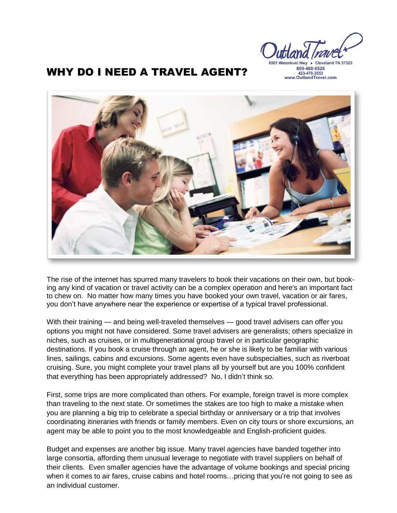6501 Waterlevel Hwy . Cleveland TN

800-468-8526 423-478-3553<br>www.OutlandTravel.com

## WHY DO I NEED A TRAVEL AGENT?



The rise of the internet has spurred many travelers to book their vacations on their own, but booking any kind of vacation or travel activity can be a complex operation and here's an important fact to chew on. No matter how many times you have booked your own travel, vacation or air fares, you don't have anywhere near the experience or expertise of a typical travel professional.

With their training — and being well-traveled themselves — good travel advisers can offer you options you might not have considered. Some travel advisers are generalists; others specialize in niches, such as [cruises,](http://www.nextavenue.org/article/2014-06/why-cruises-are-ideal-boomers-traveling-solo) or in [multigenerational](http://www.nextavenue.org/article/2014-07/6-ways-make-multigenerational-vacation-fun) group travel or in particular geographic destinations. If you book a cruise through an agent, he or she is likely to be familiar with various lines, sailings, cabins and excursions. Some agents even have subspecialties, such as riverboat cruising. Sure, you might complete your travel plans all by yourself but are you 100% confident that everything has been appropriately addressed? No, I didn't think so.

First, some trips are more complicated than others. For example, foreign travel is more complex than traveling to the next state. Or sometimes the stakes are too high to make a mistake when you are planning a big trip to celebrate a special birthday or anniversary or a trip that involves coordinating itineraries with friends or family members. Even on city tours or shore excursions, an agent may be able to point you to the most knowledgeable and English-proficient guides.

Budget and expenses are another big issue. Many travel agencies have banded together into large consortia, affording them unusual leverage to negotiate with travel suppliers on behalf of their clients. Even smaller agencies have the advantage of volume bookings and special pricing when it comes to air fares, cruise cabins and hotel rooms...pricing that you're not going to see as an individual customer.